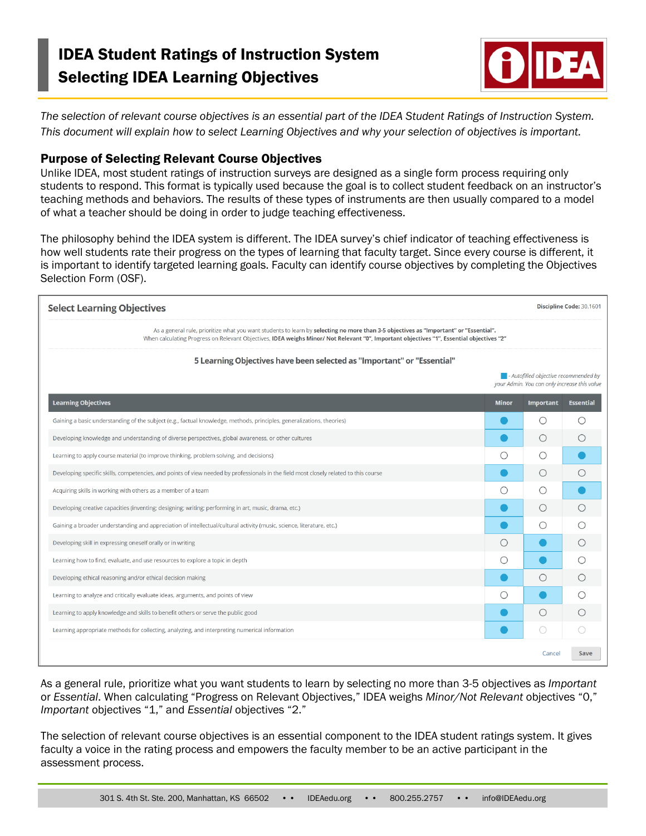# IDEA Student Ratings of Instruction System Selecting IDEA Learning Objectives



*The selection of relevant course objectives is an essential part of the IDEA Student Ratings of Instruction System. This document will explain how to select Learning Objectives and why your selection of objectives is important.* 

## Purpose of Selecting Relevant Course Objectives

Unlike IDEA, most student ratings of instruction surveys are designed as a single form process requiring only students to respond. This format is typically used because the goal is to collect student feedback on an instructor's teaching methods and behaviors. The results of these types of instruments are then usually compared to a model of what a teacher should be doing in order to judge teaching effectiveness.

The philosophy behind the IDEA system is different. The IDEA survey's chief indicator of teaching effectiveness is how well students rate their progress on the types of learning that faculty target. Since every course is different, it is important to identify targeted learning goals. Faculty can identify course objectives by completing the Objectives Selection Form (OSF).

| <b>Select Learning Objectives</b>                                                                                                                                                                                                                                                  |              |                                                                                                      |                  |  |  |  |
|------------------------------------------------------------------------------------------------------------------------------------------------------------------------------------------------------------------------------------------------------------------------------------|--------------|------------------------------------------------------------------------------------------------------|------------------|--|--|--|
| As a general rule, prioritize what you want students to learn by selecting no more than 3-5 objectives as "Important" or "Essential".<br>When calculating Progress on Relevant Objectives, IDEA weighs Minor/ Not Relevant "0", Important objectives "1", Essential objectives "2" |              |                                                                                                      |                  |  |  |  |
| 5 Learning Objectives have been selected as "Important" or "Essential"                                                                                                                                                                                                             |              |                                                                                                      |                  |  |  |  |
|                                                                                                                                                                                                                                                                                    |              | $\blacksquare$ - Autofilled objective recommended by<br>your Admin. You can only increase this value |                  |  |  |  |
| <b>Learning Objectives</b>                                                                                                                                                                                                                                                         | <b>Minor</b> | Important                                                                                            | <b>Essential</b> |  |  |  |
| Gaining a basic understanding of the subject (e.g., factual knowledge, methods, principles, generalizations, theories)                                                                                                                                                             |              | ∩                                                                                                    | $\bigcirc$       |  |  |  |
| Developing knowledge and understanding of diverse perspectives, global awareness, or other cultures                                                                                                                                                                                |              | O                                                                                                    | O                |  |  |  |
| Learning to apply course material (to improve thinking, problem solving, and decisions)                                                                                                                                                                                            | ◯            |                                                                                                      |                  |  |  |  |
| Developing specific skills, competencies, and points of view needed by professionals in the field most closely related to this course                                                                                                                                              |              | ()                                                                                                   | Ω                |  |  |  |
| Acquiring skills in working with others as a member of a team                                                                                                                                                                                                                      | ∩            | €                                                                                                    |                  |  |  |  |
| Developing creative capacities (inventing; designing; writing; performing in art, music, drama, etc.)                                                                                                                                                                              |              | ∩                                                                                                    | ∩                |  |  |  |
| Gaining a broader understanding and appreciation of intellectual/cultural activity (music, science, literature, etc.)                                                                                                                                                              |              | Ω                                                                                                    | ∩                |  |  |  |
| Developing skill in expressing oneself orally or in writing                                                                                                                                                                                                                        | $\bigcirc$   |                                                                                                      | Ω                |  |  |  |
| Learning how to find, evaluate, and use resources to explore a topic in depth                                                                                                                                                                                                      | ∩            |                                                                                                      | ∩                |  |  |  |
| Developing ethical reasoning and/or ethical decision making                                                                                                                                                                                                                        |              | Ω                                                                                                    | $\bigcirc$       |  |  |  |
| Learning to analyze and critically evaluate ideas, arguments, and points of view                                                                                                                                                                                                   | Ω            |                                                                                                      | ∩                |  |  |  |
| Learning to apply knowledge and skills to benefit others or serve the public good                                                                                                                                                                                                  |              |                                                                                                      |                  |  |  |  |
| Learning appropriate methods for collecting, analyzing, and interpreting numerical information                                                                                                                                                                                     |              |                                                                                                      |                  |  |  |  |
|                                                                                                                                                                                                                                                                                    |              | Cancel                                                                                               | Save             |  |  |  |

As a general rule, prioritize what you want students to learn by selecting no more than 3-5 objectives as *Important* or *Essential*. When calculating "Progress on Relevant Objectives," IDEA weighs *Minor/Not Relevant* objectives "0," *Important* objectives "1," and *Essential* objectives "2."

The selection of relevant course objectives is an essential component to the IDEA student ratings system. It gives faculty a voice in the rating process and empowers the faculty member to be an active participant in the assessment process.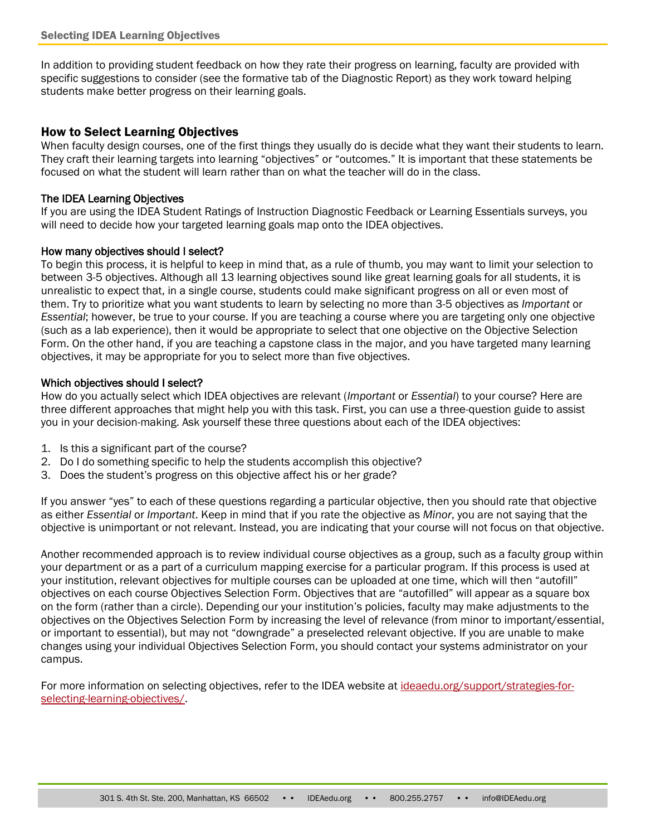In addition to providing student feedback on how they rate their progress on learning, faculty are provided with specific suggestions to consider (see the formative tab of the Diagnostic Report) as they work toward helping students make better progress on their learning goals.

## How to Select Learning Objectives

When faculty design courses, one of the first things they usually do is decide what they want their students to learn. They craft their learning targets into learning "objectives" or "outcomes." It is important that these statements be focused on what the student will learn rather than on what the teacher will do in the class.

#### The IDEA Learning Objectives

If you are using the IDEA Student Ratings of Instruction Diagnostic Feedback or Learning Essentials surveys, you will need to decide how your targeted learning goals map onto the IDEA objectives.

#### How many objectives should I select?

To begin this process, it is helpful to keep in mind that, as a rule of thumb, you may want to limit your selection to between 3-5 objectives. Although all 13 learning objectives sound like great learning goals for all students, it is unrealistic to expect that, in a single course, students could make significant progress on all or even most of them. Try to prioritize what you want students to learn by selecting no more than 3-5 objectives as *Important* or *Essential*; however, be true to your course. If you are teaching a course where you are targeting only one objective (such as a lab experience), then it would be appropriate to select that one objective on the Objective Selection Form. On the other hand, if you are teaching a capstone class in the major, and you have targeted many learning objectives, it may be appropriate for you to select more than five objectives.

#### Which objectives should I select?

How do you actually select which IDEA objectives are relevant (*Important* or *Essential*) to your course? Here are three different approaches that might help you with this task. First, you can use a three-question guide to assist you in your decision-making. Ask yourself these three questions about each of the IDEA objectives:

- 1. Is this a significant part of the course?
- 2. Do I do something specific to help the students accomplish this objective?
- 3. Does the student's progress on this objective affect his or her grade?

If you answer "yes" to each of these questions regarding a particular objective, then you should rate that objective as either *Essential* or *Important*. Keep in mind that if you rate the objective as *Minor*, you are not saying that the objective is unimportant or not relevant. Instead, you are indicating that your course will not focus on that objective.

Another recommended approach is to review individual course objectives as a group, such as a faculty group within your department or as a part of a curriculum mapping exercise for a particular program. If this process is used at your institution, relevant objectives for multiple courses can be uploaded at one time, which will then "autofill" objectives on each course Objectives Selection Form. Objectives that are "autofilled" will appear as a square box on the form (rather than a circle). Depending our your institution's policies, faculty may make adjustments to the objectives on the Objectives Selection Form by increasing the level of relevance (from minor to important/essential, or important to essential), but may not "downgrade" a preselected relevant objective. If you are unable to make changes using your individual Objectives Selection Form, you should contact your systems administrator on your campus.

For more information on selecting objectives, refer to the IDEA website at [ideaedu.org/support/strategies-for](http://ideaedu.org/support/strategies-for-selecting-learning-objectives/)[selecting-learning-objectives/.](http://ideaedu.org/support/strategies-for-selecting-learning-objectives/)